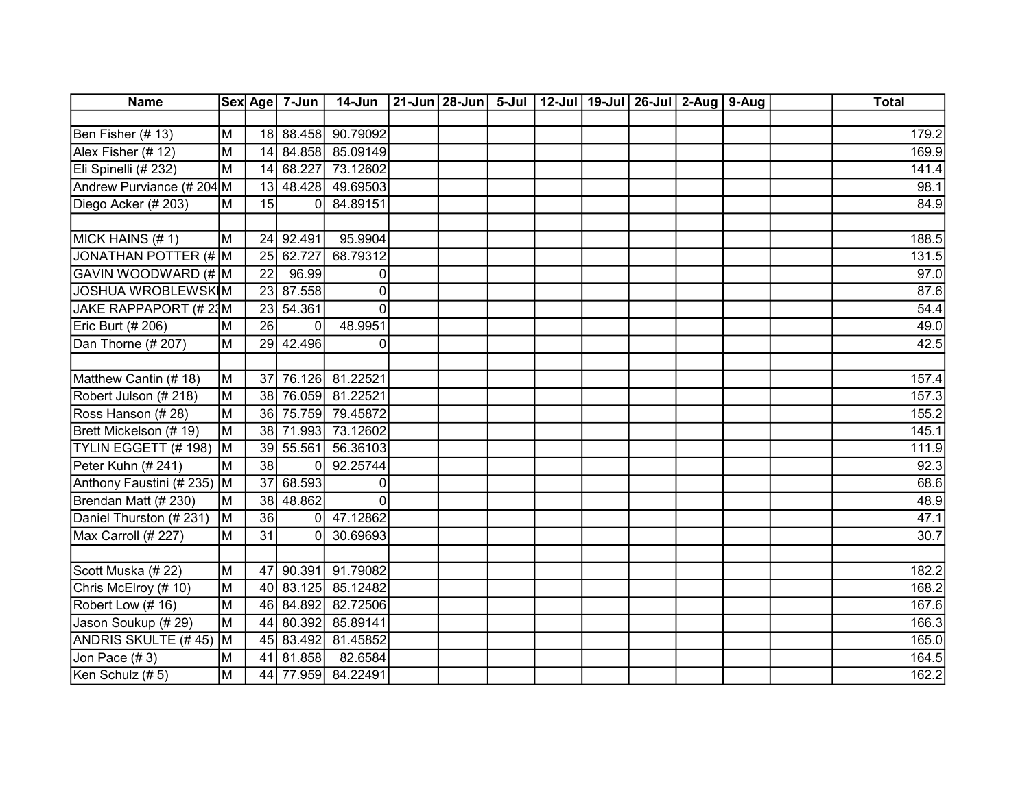| <b>Name</b>                |                |                 | Sex Age 7-Jun | $14$ -Jun          | 21-Jun 28-Jun   5-Jul   12-Jul   19-Jul   26-Jul   2-Aug |  |  | $9-Auq$ | <b>Total</b> |
|----------------------------|----------------|-----------------|---------------|--------------------|----------------------------------------------------------|--|--|---------|--------------|
|                            |                |                 |               |                    |                                                          |  |  |         |              |
| Ben Fisher (# 13)          | M              | 18              |               | 88.458 90.79092    |                                                          |  |  |         | 179.2        |
| Alex Fisher (# 12)         | M              | 14              |               | 84.858 85.09149    |                                                          |  |  |         | 169.9        |
| Eli Spinelli (# 232)       | M              | 14              | 68.227        | 73.12602           |                                                          |  |  |         | 141.4        |
| Andrew Purviance (# 204 M  |                |                 | 13 48.428     | 49.69503           |                                                          |  |  |         | 98.1         |
| Diego Acker (# 203)        | M              | 15              | $\Omega$      | 84.89151           |                                                          |  |  |         | 84.9         |
|                            |                |                 |               |                    |                                                          |  |  |         |              |
| MICK HAINS (#1)            | M              |                 | 24 92.491     | 95.9904            |                                                          |  |  |         | 188.5        |
| JONATHAN POTTER (# M       |                | 25              | 62.727        | 68.79312           |                                                          |  |  |         | 131.5        |
| GAVIN WOODWARD (# M        |                | $\overline{22}$ | 96.99         | 0                  |                                                          |  |  |         | 97.0         |
| <b>JOSHUA WROBLEWSKIM</b>  |                | 23              | 87.558        | 0                  |                                                          |  |  |         | 87.6         |
| JAKE RAPPAPORT (# 23M      |                | 23              | 54.361        | $\Omega$           |                                                          |  |  |         | 54.4         |
| Eric Burt (# 206)          | M              | 26              | 0             | 48.9951            |                                                          |  |  |         | 49.0         |
| Dan Thorne (# 207)         | M              |                 | 29 42.496     | 0                  |                                                          |  |  |         | 42.5         |
|                            |                |                 |               |                    |                                                          |  |  |         |              |
| Matthew Cantin (#18)       | M              |                 | 37 76.126     | 81.22521           |                                                          |  |  |         | 157.4        |
| Robert Julson (# 218)      | M              | 38              | 76.059        | 81.22521           |                                                          |  |  |         | 157.3        |
| Ross Hanson (# 28)         | M              |                 | 36 75.759     | 79.45872           |                                                          |  |  |         | 155.2        |
| Brett Mickelson (# 19)     | M              |                 | 38 71.993     | 73.12602           |                                                          |  |  |         | 145.1        |
| TYLIN EGGETT (#198)        | İМ             |                 | 39 55.561     | 56.36103           |                                                          |  |  |         | 111.9        |
| Peter Kuhn (# 241)         | M              | $\overline{38}$ | $\mathbf{0}$  | 92.25744           |                                                          |  |  |         | 92.3         |
| Anthony Faustini (# 235)   | Iм             | 37              | 68.593        | $\Omega$           |                                                          |  |  |         | 68.6         |
| Brendan Matt (#230)        | M              |                 | 38 48.862     | $\Omega$           |                                                          |  |  |         | 48.9         |
| Daniel Thurston (# 231)    | lм             | 36              | $\Omega$      | 47.12862           |                                                          |  |  |         | 47.1         |
| Max Carroll (# 227)        | M              | 31              | 0             | 30.69693           |                                                          |  |  |         | 30.7         |
|                            |                |                 |               |                    |                                                          |  |  |         |              |
| Scott Muska (# 22)         | M              | 47              | 90.391        | 91.79082           |                                                          |  |  |         | 182.2        |
| Chris McElroy (# 10)       | M              |                 | 40 83.125     | 85.12482           |                                                          |  |  |         | 168.2        |
| Robert Low (#16)           | M              |                 | 46 84.892     | 82.72506           |                                                          |  |  |         | 167.6        |
| Jason Soukup (# 29)        | M              | 44              | 80.392        | 85.89141           |                                                          |  |  |         | 166.3        |
| <b>ANDRIS SKULTE (#45)</b> | İМ             | 45              | 83.492        | 81.45852           |                                                          |  |  |         | 165.0        |
| Jon Pace (#3)              | M              | 41              | 81.858        | 82.6584            |                                                          |  |  |         | 164.5        |
| Ken Schulz (#5)            | $\overline{M}$ |                 |               | 44 77.959 84.22491 |                                                          |  |  |         | 162.2        |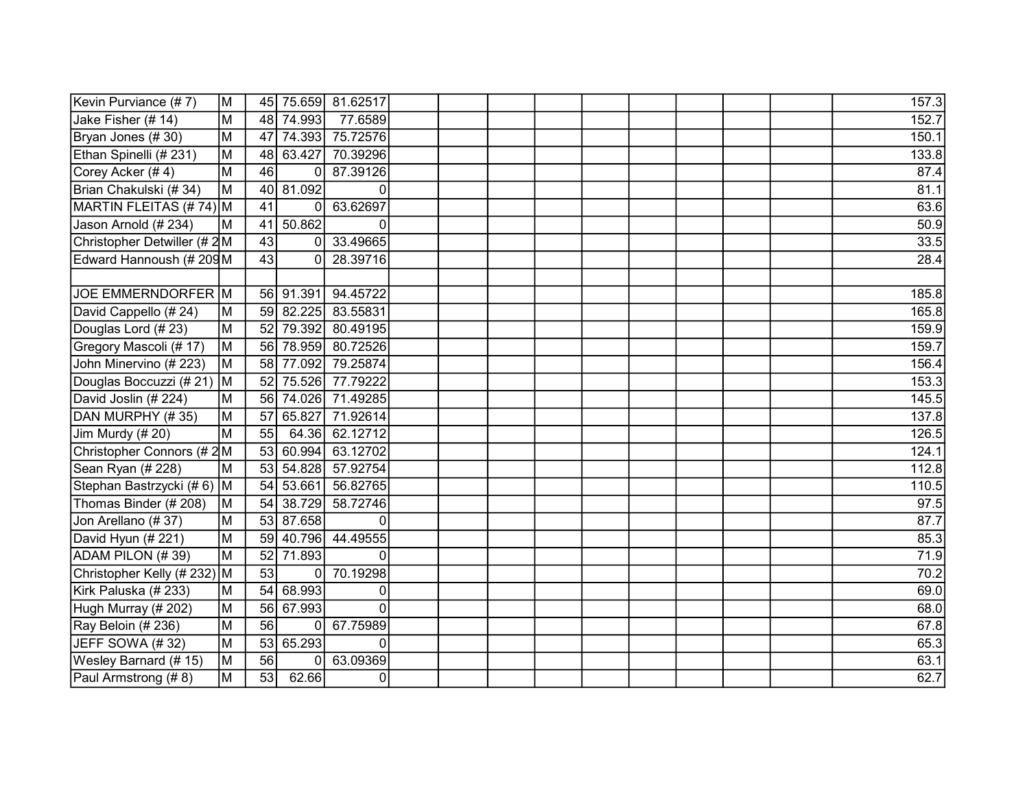| Kevin Purviance (#7)        | M  |                 |                | 45 75.659 81.62517 |  |  |  |  | 157.3 |
|-----------------------------|----|-----------------|----------------|--------------------|--|--|--|--|-------|
| Jake Fisher (# 14)          | М  | 48              | 74.993         | 77.6589            |  |  |  |  | 152.7 |
| Bryan Jones (#30)           | M  | 47              |                | 74.393 75.72576    |  |  |  |  | 150.1 |
| Ethan Spinelli (#231)       | М  | 48              | 63.427         | 70.39296           |  |  |  |  | 133.8 |
| Corey Acker (#4)            | M  | 46              | 0              | 87.39126           |  |  |  |  | 87.4  |
| Brian Chakulski (# 34)      | M  | 40              | 81.092         | $\mathbf 0$        |  |  |  |  | 81.1  |
| MARTIN FLEITAS (# 74) M     |    | 41              | 0              | 63.62697           |  |  |  |  | 63.6  |
| Jason Arnold (#234)         | M  | 41              | 50.862         | $\Omega$           |  |  |  |  | 50.9  |
| Christopher Detwiller (# 2M |    | 43              | 0              | 33.49665           |  |  |  |  | 33.5  |
| Edward Hannoush (# 209M     |    | 43              | 0              | 28.39716           |  |  |  |  | 28.4  |
|                             |    |                 |                |                    |  |  |  |  |       |
| JOE EMMERNDORFER M          |    |                 | 56 91.391      | 94.45722           |  |  |  |  | 185.8 |
| David Cappello (# 24)       | M  | 59              | 82.225         | 83.55831           |  |  |  |  | 165.8 |
| Douglas Lord (#23)          | M  | 52              | 79.392         | 80.49195           |  |  |  |  | 159.9 |
| Gregory Mascoli (# 17)      | M  | 56              | 78.959         | 80.72526           |  |  |  |  | 159.7 |
| John Minervino (# 223)      | M  | 58              | 77.092         | 79.25874           |  |  |  |  | 156.4 |
| Douglas Boccuzzi (# 21)     | M  | 52              | 75.526         | 77.79222           |  |  |  |  | 153.3 |
| David Joslin (# 224)        | M  | 56              |                | 74.026 71.49285    |  |  |  |  | 145.5 |
| DAN MURPHY (#35)            | M  | 57              | 65.827         | 71.92614           |  |  |  |  | 137.8 |
| Jim Murdy (# 20)            | M  | 55              | 64.36          | 62.12712           |  |  |  |  | 126.5 |
| Christopher Connors (# 2M   |    | 53              | 60.994         | 63.12702           |  |  |  |  | 124.1 |
| Sean Ryan (# 228)           | М  | 53              | 54.828         | 57.92754           |  |  |  |  | 112.8 |
| Stephan Bastrzycki (#6) M   |    | 54              | 53.661         | 56.82765           |  |  |  |  | 110.5 |
| Thomas Binder (# 208)       | М  | 54              | 38.729         | 58.72746           |  |  |  |  | 97.5  |
| Jon Arellano (#37)          | M  | 53              | 87.658         | 0                  |  |  |  |  | 87.7  |
| David Hyun (# 221)          | M  | 59              | 40.796         | 44.49555           |  |  |  |  | 85.3  |
| ADAM PILON (#39)            | M  | 52              | 71.893         | $\mathbf 0$        |  |  |  |  | 71.9  |
| Christopher Kelly (# 232)   | lм | 53              | 0              | 70.19298           |  |  |  |  | 70.2  |
| Kirk Paluska (# 233)        | M  | 54              | 68.993         | 0                  |  |  |  |  | 69.0  |
| Hugh Murray (# 202)         | M  | 56              | 67.993         | $\overline{0}$     |  |  |  |  | 68.0  |
| Ray Beloin (# 236)          | M  | 56              | $\overline{0}$ | 67.75989           |  |  |  |  | 67.8  |
| JEFF SOWA (#32)             | M  | 53              | 65.293         | $\mathbf{0}$       |  |  |  |  | 65.3  |
| Wesley Barnard (#15)        | M  | $\overline{56}$ | 0              | 63.09369           |  |  |  |  | 63.1  |
| Paul Armstrong (#8)         | M  | 53              | 62.66          | 0                  |  |  |  |  | 62.7  |